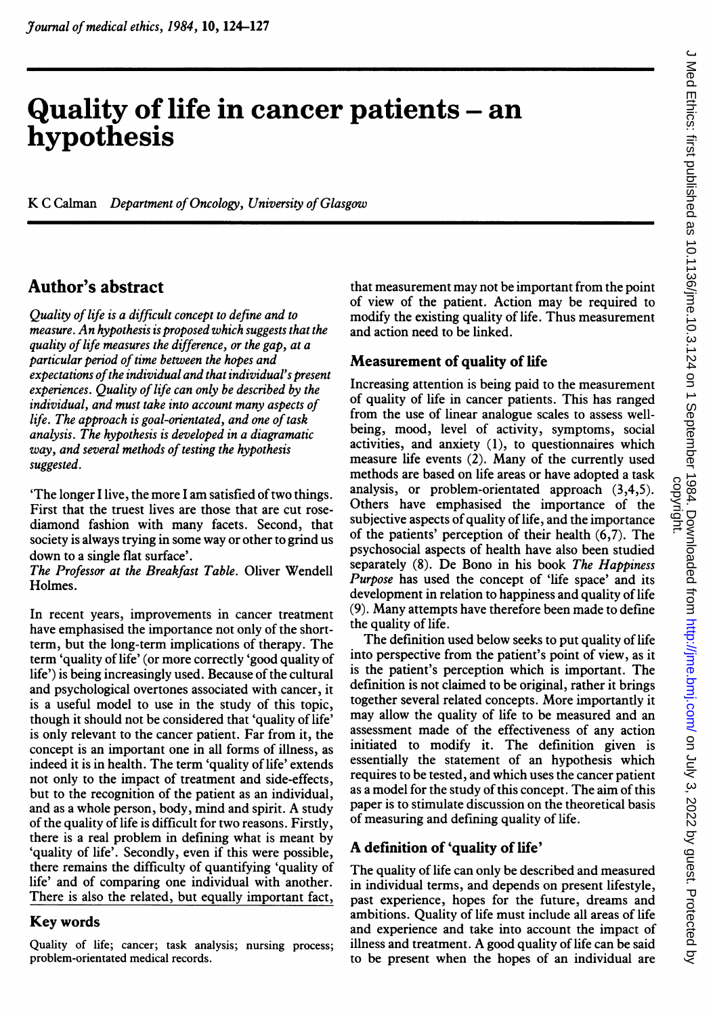# Quality of life in cancer patients - an hypothesis

Quintification and the company of the company of the company of the company of the company of the company of t

K C Calman Department of Oncology, University of Glasgow

# Author's abstract

Quality of life is a difficult concept to define and to measure. An hypothesis is proposed which suggests that the quality of life measures the difference, or the gap, at a particular period of time between the hopes and expectations of the individual and that individual's present experiences. Quality of life can only be described by the individual, and must take into account many aspects of life. The approach is goal-orientated, and one of task analysis. The hypothesis is developed in a diagramatic way, and several methods of testing the hypothesis suggested.

'The longer <sup>I</sup> live, the more <sup>I</sup> am satisfied of two things. First that the truest lives are those that are cut rosediamond fashion with many facets. Second, that society is always trying in some way or other to grind us down to a single flat surface'.

The Professor at the Breakfast Table. Oliver Wendell Holmes.

In recent years, improvements in cancer treatment have emphasised the importance not only of the shortterm, but the long-term implications of therapy. The term 'quality of life' (or more correctly 'good quality of life') is being increasingly used. Because of the cultural and psychological overtones associated with cancer, it is a useful model to use in the study of this topic, though it should not be considered that 'quality of life' is only relevant to the cancer patient. Far from it, the concept is an important one in all forms of illness, as indeed it is in health. The term 'quality of life' extends not only to the impact of treatment and side-effects, but to the recognition of the patient as an individual, and as <sup>a</sup> whole person, body, mind and spirit. A study of the quality of life is difficult for two reasons. Firstly, there is a real problem in defining what is meant by 'quality of life'. Secondly, even if this were possible, there remains the difficulty of quantifying 'quality of life' and of comparing one individual with another. There is also the related, but equally important fact,

#### Key words

Quality of life; cancer; task analysis; nursing process; problem-orientated medical records.

that measurement may not be important from the point of view of the patient. Action may be required to modify the existing quality of life. Thus measurement and action need to be linked.

#### Measurement of quality of life

Increasing attention is being paid to the measurement of quality of life in cancer patients. This has ranged from the use of linear analogue scales to assess wellbeing, mood, level of activity, symptoms, social activities, and anxiety (1), to questionnaires which measure life events (2). Many of the currently used methods are based on life areas or have adopted a task analysis, or problem-orientated approach (3,4,5). Others have emphasised the importance of the subjective aspects of quality of life, and the importance of the patients' perception of their health (6,7). The psychosocial aspects of health have also been studied separately (8). De Bono in his book The Happiness Purpose has used the concept of 'life space' and its development in relation to happiness and quality of life (9). Many attempts have therefore been made to define the quality of life.

The definition used below seeks to put quality of life into perspective from the patient's point of view, as it is the patient's perception which is important. The definition is not claimed to be original, rather it brings together several related concepts. More importantly it may allow the quality of life to be measured and an assessment made of the effectiveness of any action initiated to modify it. The definition given is essentially the statement of an hypothesis which requires to be tested, and which uses the cancer patient as a model for the study of this concept. The aim of this paper is to stimulate discussion on the theoretical basis of measuring and defining quality of life.

## A definition of 'quality of life'

The quality of life can only be described and measured in individual terms, and depends on present lifestyle, past experience, hopes for the future, dreams and ambitions. Quality of life must include all areas of life and experience and take into account the impact of illness and treatment. A good quality of life can be said to be present when the hopes of an individual are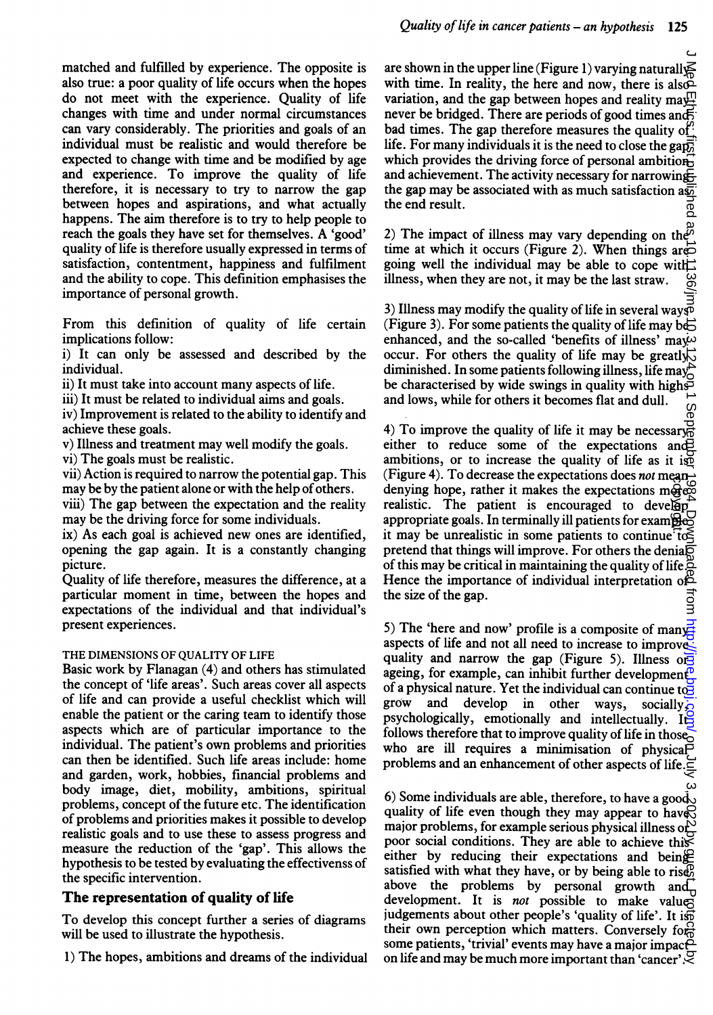do not meet with the experience. Quality of life changes with time and under normal circumstances can vary considerably. The priorities and goals of an individual must be realistic and would therefore be expected to change with time and be modified by age and experience. To improve the quality of life therefore, it is necessary to try to narrow the gap between hopes and aspirations, and what actually happens. The aim therefore is to try to help people to reach the goals they have set for themselves. A 'good' quality of life is therefore usually expressed in terms of satisfaction, contentment, happiness and fulfilment and the ability to cope. This definition emphasises the importance of personal growth.

From this definition of quality of life certain implications follow:

i) It can only be assessed and described by the individual.

ii) It must take into account many aspects of life.

iii) It must be related to individual aims and goals.

iv) Improvement is related to the ability to identify and achieve these goals.

v) Illness and treatment may well modify the goals.

vi) The goals must be realistic.

vii) Action is required to narrow the potential gap. This may be by the patient alone or with the help of others.

viii) The gap between the expectation and the reality may be the driving force for some individuals.

ix) As each goal is achieved new ones are identified, opening the gap again. It is a constantly changing picture.

Quality of life therefore, measures the difference, at a particular moment in time, between the hopes and expectations of the individual and that individual's present experiences.

#### THE DIMENSIONS OF OUALITY OF LIFE

Basic work by Flanagan (4) and others has stimulated the concept of 'life areas'. Such areas cover all aspects of life and can provide a useful checklist which will enable the patient or the caring team to identify those aspects which are of particular importance to the individual. The patient's own problems and priorities can then be identified. Such life areas include: home and garden, work, hobbies, financial problems and body image, diet, mobility, ambitions, spiritual problems, concept of the future etc. The identification of problems and priorities makes it possible to develop realistic goals and to use these to assess progress and measure the reduction of the 'gap'. This allows the hypothesis to be tested by evaluating the effectivenss of the specific intervention.

#### The representation of quality of life

To develop this concept further <sup>a</sup> series of diagrams will be used to illustrate the hypothesis.

1) The hopes, ambitions and dreams of the individual

are shown in the upper line (Figure 1) varying naturall  $\leq$ with time. In reality, the here and now, there is also variation, and the gap between hopes and reality may. never be bridged. There are periods of good times and bad times. The gap therefore measures the quality of life. For many individuals it is the need to close the gapwhich provides the driving force of personal ambitionand achievement. The activity necessary for narrowing the gap may be associated with as much satisfaction as the end result.

2) The impact of illness may vary depending on the<sup> $\bar{p}$ </sup> time at which it occurs (Figure 2). When things are  $\overrightarrow{CD}$ going well the individual may be able to cope with: illness, when they are not, it may be the last straw.

3) Illness may modify the quality of life in several ways (Figure 3). For some patients the quality of life may be: enhanced, and the so-called 'benefits of illness' may. occur. For others the quality of life may be greatly. diminished. In some patients following illness, life may be characterised by wide swings in quality with highsand lows, while for others it becomes flat and dull.

 $\delta$ or Japana, Prasmis 13, 13, 2022  $e$  (nic To $^*$ ulid published as 10.113.124 on 1 Downloaded from 1 Downloaded from 10.1136. Downloaded from 10.1136. Downloaded from 10.1136. Downloaded from 1984. Downloaded from 1984. 4) To improve the quality of life it may be necessary $\frac{1}{60}$ either to reduce some of the expectations and  $\overrightarrow{B}$ ambitions, or to increase the quality of life as it iso (Figure 4). To decrease the expectations does *not* meandenying hope, rather it makes the expectations more realistic. The patient is encouraged to develop appropriate goals. In terminally ill patients for exam $\widetilde{\mathbf{B}}$ it may be unrealistic in some patients to continue  $\vec{t}$ pretend that things will improve. For others the denialog of this may be critical in maintaining the quality of life. Hence the importance of individual interpretation of the size of the gap. 킁

5) The 'here and now' profile is a composite of manyaspects of life and not all need to increase to improvequality and narrow the gap (Figure 5). Illness or ageing, for example, can inhibit further development<sup>o</sup> of a physical nature. Yet the individual can continue to grow and develop in other ways, socially, psychologically, emotionally and intellectually. It follows therefore that to improve quality of life in those who are ill requires <sup>a</sup> minimisation of physical problems and an enhancement of other aspects of life.

6) Some individuals are able, therefore, to have a good quality of life even though they may appear to have major problems, for example serious physical illness or  $\frac{1}{\sqrt{2}}$ poor social conditions. They are able to achieve this either by reducing their expectations and being satisfied with what they have, or by being able to rise above the problems by personal growth and development. It is not possible to make values judgements about other people's 'quality of life'. It isn their own perception which matters. Conversely for some patients, 'trivial' events may have a major impace on life and may be much more important than 'cancer'  $\mathbb{C}$ denying hope, rather it makes the expectations in  $\frac{1}{2}$ <br>denying hope, rather it makes the expectations in  $\frac{1}{2}$ <br>approprinte goals. In terminally ill paints for example<br>it may be unrealistic in some paients to cont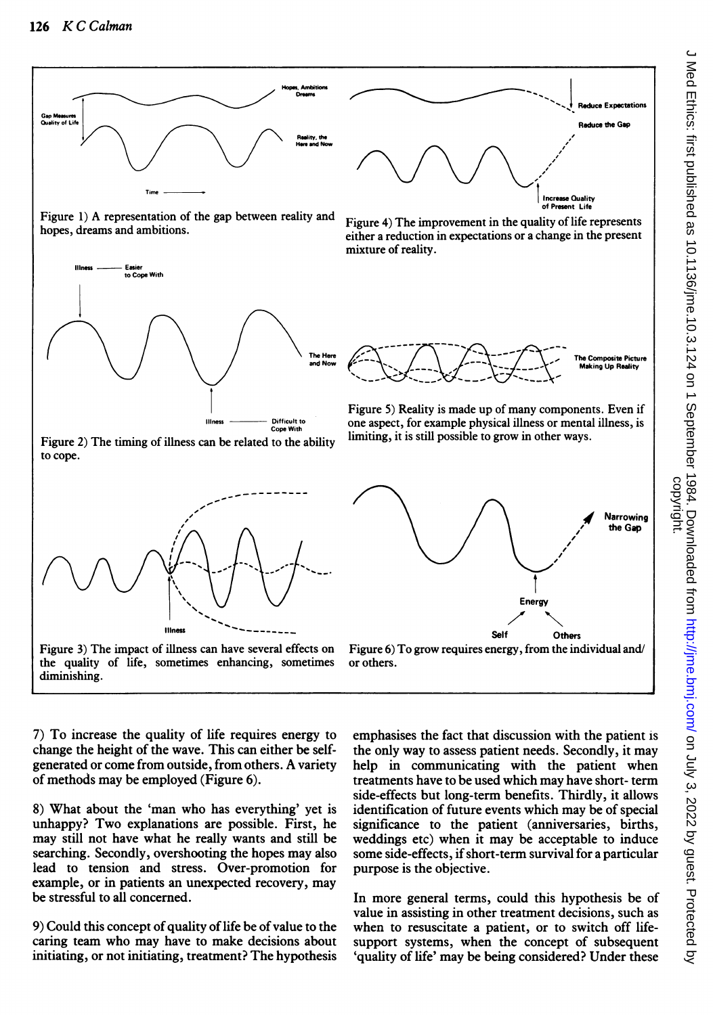

7) To increase the quality of life requires energy to change the height of the wave. This can either be selfgenerated or come from outside, from others. A variety of methods may be employed (Figure 6).

8) What about the 'man who has everything' yet is unhappy? Two explanations are possible. First, he may still not have what he really wants and still be searching. Secondly, overshooting the hopes may also lead to tension and stress. Over-promotion for example, or in patients an unexpected recovery, may be stressful to all concerned.

9) Could this concept of quality of life be of value to the caring team who may have to make decisions about initiating, or not initiating, treatment? The hypothesis

emphasises the fact that discussion with the patient is the only way to assess patient needs. Secondly, it may help in communicating with the patient when treatments have to be used which may have short- term side-effects but long-term benefits. Thirdly, it allows identification of future events which may be of special significance to the patient (anniversaries, births, weddings etc) when it may be acceptable to induce some side-effects, if short-term survival for a particular purpose is the objective.

In more general terms, could this hypothesis be of value in assisting in other treatment decisions, such as when to resuscitate a patient, or to switch off lifesupport systems, when the concept of subsequent 'quality of life' may be being considered? Under these